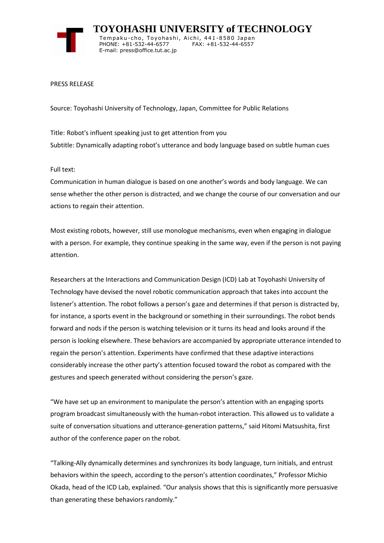

 **TOYOHASHI UNIVERSITY of TECHNOLOGY** Tempaku-cho, Toyohashi, Aichi, 441-8580 Japan PHONE: +81-532-44-6577 FAX: +81-532-44-6557 E-mail: press@office.tut.ac.jp

PRESS RELEASE

Source: Toyohashi University of Technology, Japan, Committee for Public Relations

Title: Robot's influent speaking just to get attention from you Subtitle: Dynamically adapting robot's utterance and body language based on subtle human cues

Full text:

Communication in human dialogue is based on one another's words and body language. We can sense whether the other person is distracted, and we change the course of our conversation and our actions to regain their attention.

Most existing robots, however, still use monologue mechanisms, even when engaging in dialogue with a person. For example, they continue speaking in the same way, even if the person is not paying attention.

Researchers at the Interactions and Communication Design (ICD) Lab at Toyohashi University of Technology have devised the novel robotic communication approach that takes into account the listener's attention. The robot follows a person's gaze and determines if that person is distracted by, for instance, a sports event in the background or something in their surroundings. The robot bends forward and nods if the person is watching television or it turns its head and looks around if the person is looking elsewhere. These behaviors are accompanied by appropriate utterance intended to regain the person's attention. Experiments have confirmed that these adaptive interactions considerably increase the other party's attention focused toward the robot as compared with the gestures and speech generated without considering the person's gaze.

"We have set up an environment to manipulate the person's attention with an engaging sports program broadcast simultaneously with the human-robot interaction. This allowed us to validate a suite of conversation situations and utterance-generation patterns," said Hitomi Matsushita, first author of the conference paper on the robot.

"Talking-Ally dynamically determines and synchronizes its body language, turn initials, and entrust behaviors within the speech, according to the person's attention coordinates," Professor Michio Okada, head of the ICD Lab, explained. "Our analysis shows that this is significantly more persuasive than generating these behaviors randomly."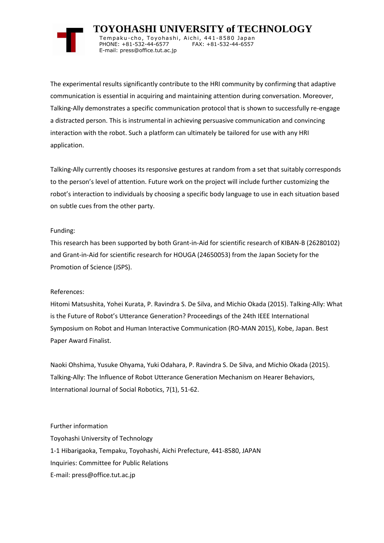

 **TOYOHASHI UNIVERSITY of TECHNOLOGY** Tempaku-cho, Toyohashi, Aichi, 441-8580 Japan PHONE: +81-532-44-6577 FAX: +81-532-44-6557 E-mail: press@office.tut.ac.jp

The experimental results significantly contribute to the HRI community by confirming that adaptive communication is essential in acquiring and maintaining attention during conversation. Moreover, Talking-Ally demonstrates a specific communication protocol that is shown to successfully re-engage a distracted person. This is instrumental in achieving persuasive communication and convincing interaction with the robot. Such a platform can ultimately be tailored for use with any HRI application.

Talking-Ally currently chooses its responsive gestures at random from a set that suitably corresponds to the person's level of attention. Future work on the project will include further customizing the robot's interaction to individuals by choosing a specific body language to use in each situation based on subtle cues from the other party.

## Funding:

This research has been supported by both Grant-in-Aid for scientific research of KIBAN-B (26280102) and Grant-in-Aid for scientific research for HOUGA (24650053) from the Japan Society for the Promotion of Science (JSPS).

## References:

Hitomi Matsushita, Yohei Kurata, P. Ravindra S. De Silva, and Michio Okada (2015). Talking-Ally: What is the Future of Robot's Utterance Generation? Proceedings of the 24th IEEE International Symposium on Robot and Human Interactive Communication (RO-MAN 2015), Kobe, Japan. Best Paper Award Finalist.

Naoki Ohshima, Yusuke Ohyama, Yuki Odahara, P. Ravindra S. De Silva, and Michio Okada (2015). Talking-Ally: The Influence of Robot Utterance Generation Mechanism on Hearer Behaviors, International Journal of Social Robotics, 7(1), 51-62.

Further information Toyohashi University of Technology 1-1 Hibarigaoka, Tempaku, Toyohashi, Aichi Prefecture, 441-8580, JAPAN Inquiries: Committee for Public Relations E-mail: press@office.tut.ac.jp